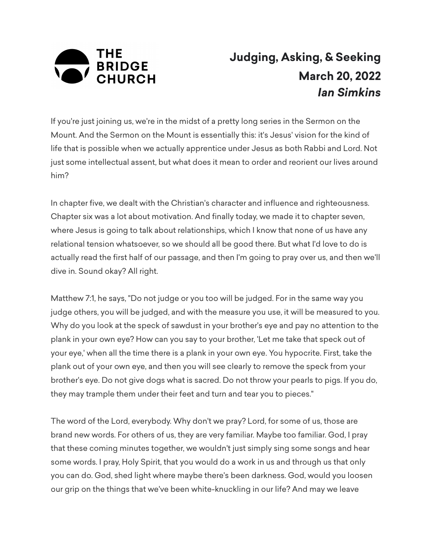

## **Judging, Asking, & Seeking March 20, 2022** *Ian Simkins*

If you're just joining us, we're in the midst of a pretty long series in the Sermon on the Mount. And the Sermon on the Mount is essentially this: it's Jesus' vision for the kind of life that is possible when we actually apprentice under Jesus as both Rabbi and Lord. Not just some intellectual assent, but what does it mean to order and reorient our lives around him?

In chapter five, we dealt with the Christian's character and influence and righteousness. Chapter six was a lot about motivation. And finally today, we made it to chapter seven, where Jesus is going to talk about relationships, which I know that none of us have any relational tension whatsoever, so we should all be good there. But what I'd love to do is actually read the first half of our passage, and then I'm going to pray over us, and then we'll dive in. Sound okay? All right.

Matthew 7:1, he says, "Do not judge or you too will be judged. For in the same way you judge others, you will be judged, and with the measure you use, it will be measured to you. Why do you look at the speck of sawdust in your brother's eye and pay no attention to the plank in your own eye? How can you say to your brother, 'Let me take that speck out of your eye,' when all the time there is a plank in your own eye. You hypocrite. First, take the plank out of your own eye, and then you will see clearly to remove the speck from your brother's eye. Do not give dogs what is sacred. Do not throw your pearls to pigs. If you do, they may trample them under their feet and turn and tear you to pieces."

The word of the Lord, everybody. Why don't we pray? Lord, for some of us, those are brand new words. For others of us, they are very familiar. Maybe too familiar. God, I pray that these coming minutes together, we wouldn't just simply sing some songs and hear some words. I pray, Holy Spirit, that you would do a work in us and through us that only you can do. God, shed light where maybe there's been darkness. God, would you loosen our grip on the things that we've been white-knuckling in our life? And may we leave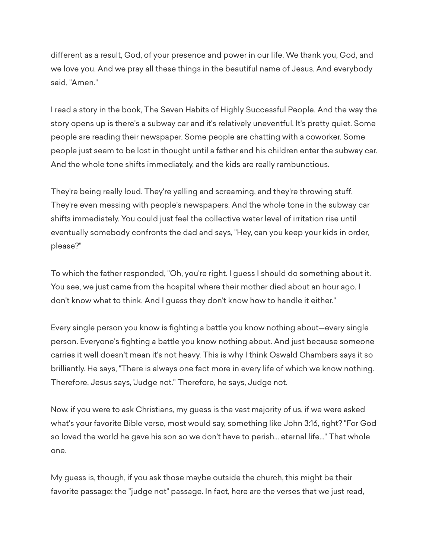different as a result, God, of your presence and power in our life. We thank you, God, and we love you. And we pray all these things in the beautiful name of Jesus. And everybody said, "Amen."

I read a story in the book, The Seven Habits of Highly Successful People. And the way the story opens up is there's a subway car and it's relatively uneventful. It's pretty quiet. Some people are reading their newspaper. Some people are chatting with a coworker. Some people just seem to be lost in thought until a father and his children enter the subway car. And the whole tone shifts immediately, and the kids are really rambunctious.

They're being really loud. They're yelling and screaming, and they're throwing stuff. They're even messing with people's newspapers. And the whole tone in the subway car shifts immediately. You could just feel the collective water level of irritation rise until eventually somebody confronts the dad and says, "Hey, can you keep your kids in order, please?"

To which the father responded, "Oh, you're right. I guess I should do something about it. You see, we just came from the hospital where their mother died about an hour ago. I don't know what to think. And I guess they don't know how to handle it either."

Every single person you know is fighting a battle you know nothing about—every single person. Everyone's fighting a battle you know nothing about. And just because someone carries it well doesn't mean it's not heavy. This is why I think Oswald Chambers says it so brilliantly. He says, "There is always one fact more in every life of which we know nothing. Therefore, Jesus says, 'Judge not." Therefore, he says, Judge not.

Now, if you were to ask Christians, my guess is the vast majority of us, if we were asked what's your favorite Bible verse, most would say, something like John 3:16, right? "For God so loved the world he gave his son so we don't have to perish... eternal life..." That whole one.

My guess is, though, if you ask those maybe outside the church, this might be their favorite passage: the "judge not" passage. In fact, here are the verses that we just read,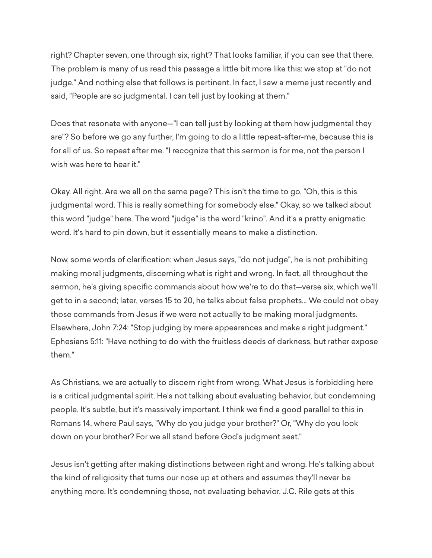right? Chapter seven, one through six, right? That looks familiar, if you can see that there. The problem is many of us read this passage a little bit more like this: we stop at "do not judge." And nothing else that follows is pertinent. In fact, I saw a meme just recently and said, "People are so judgmental. I can tell just by looking at them."

Does that resonate with anyone—"I can tell just by looking at them how judgmental they are"? So before we go any further, I'm going to do a little repeat-after-me, because this is for all of us. So repeat after me. "I recognize that this sermon is for me, not the person I wish was here to hear it."

Okay. All right. Are we all on the same page? This isn't the time to go, "Oh, this is this judgmental word. This is really something for somebody else." Okay, so we talked about this word "judge" here. The word "judge" is the word "krino". And it's a pretty enigmatic word. It's hard to pin down, but it essentially means to make a distinction.

Now, some words of clarification: when Jesus says, "do not judge", he is not prohibiting making moral judgments, discerning what is right and wrong. In fact, all throughout the sermon, he's giving specific commands about how we're to do that—verse six, which we'll get to in a second; later, verses 15 to 20, he talks about false prophets... We could not obey those commands from Jesus if we were not actually to be making moral judgments. Elsewhere, John 7:24: "Stop judging by mere appearances and make a right judgment." Ephesians 5:11: "Have nothing to do with the fruitless deeds of darkness, but rather expose them."

As Christians, we are actually to discern right from wrong. What Jesus is forbidding here is a critical judgmental spirit. He's not talking about evaluating behavior, but condemning people. It's subtle, but it's massively important. I think we find a good parallel to this in Romans 14, where Paul says, "Why do you judge your brother?" Or, "Why do you look down on your brother? For we all stand before God's judgment seat."

Jesus isn't getting after making distinctions between right and wrong. He's talking about the kind of religiosity that turns our nose up at others and assumes they'll never be anything more. It's condemning those, not evaluating behavior. J.C. Rile gets at this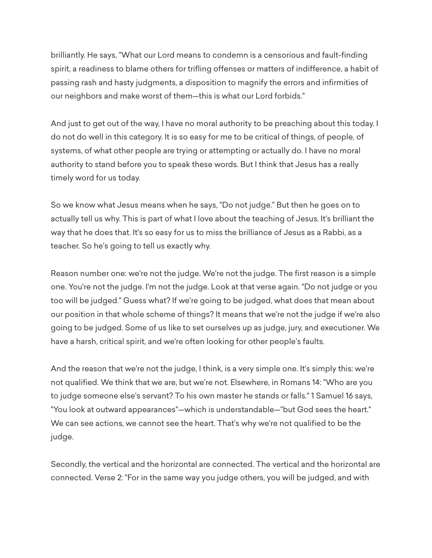brilliantly. He says, "What our Lord means to condemn is a censorious and fault-finding spirit, a readiness to blame others for trifling offenses or matters of indifference, a habit of passing rash and hasty judgments, a disposition to magnify the errors and infirmities of our neighbors and make worst of them—this is what our Lord forbids."

And just to get out of the way, I have no moral authority to be preaching about this today. I do not do well in this category. It is so easy for me to be critical of things, of people, of systems, of what other people are trying or attempting or actually do. I have no moral authority to stand before you to speak these words. But I think that Jesus has a really timely word for us today.

So we know what Jesus means when he says, "Do not judge." But then he goes on to actually tell us why. This is part of what I love about the teaching of Jesus. It's brilliant the way that he does that. It's so easy for us to miss the brilliance of Jesus as a Rabbi, as a teacher. So he's going to tell us exactly why.

Reason number one: we're not the judge. We're not the judge. The first reason is a simple one. You're not the judge. I'm not the judge. Look at that verse again. "Do not judge or you too will be judged." Guess what? If we're going to be judged, what does that mean about our position in that whole scheme of things? It means that we're not the judge if we're also going to be judged. Some of us like to set ourselves up as judge, jury, and executioner. We have a harsh, critical spirit, and we're often looking for other people's faults.

And the reason that we're not the judge, I think, is a very simple one. It's simply this: we're not qualified. We think that we are, but we're not. Elsewhere, in Romans 14: "Who are you to judge someone else's servant? To his own master he stands or falls." 1 Samuel 16 says, "You look at outward appearances"—which is understandable—"but God sees the heart." We can see actions, we cannot see the heart. That's why we're not qualified to be the judge.

Secondly, the vertical and the horizontal are connected. The vertical and the horizontal are connected. Verse 2: "For in the same way you judge others, you will be judged, and with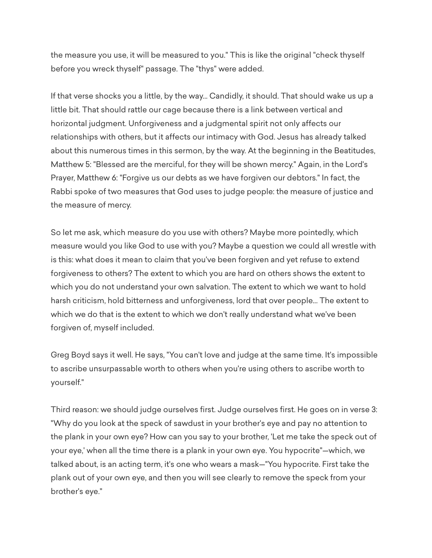the measure you use, it will be measured to you." This is like the original "check thyself before you wreck thyself" passage. The "thys" were added.

If that verse shocks you a little, by the way... Candidly, it should. That should wake us up a little bit. That should rattle our cage because there is a link between vertical and horizontal judgment. Unforgiveness and a judgmental spirit not only affects our relationships with others, but it affects our intimacy with God. Jesus has already talked about this numerous times in this sermon, by the way. At the beginning in the Beatitudes, Matthew 5: "Blessed are the merciful, for they will be shown mercy." Again, in the Lord's Prayer, Matthew 6: "Forgive us our debts as we have forgiven our debtors." In fact, the Rabbi spoke of two measures that God uses to judge people: the measure of justice and the measure of mercy.

So let me ask, which measure do you use with others? Maybe more pointedly, which measure would you like God to use with you? Maybe a question we could all wrestle with is this: what does it mean to claim that you've been forgiven and yet refuse to extend forgiveness to others? The extent to which you are hard on others shows the extent to which you do not understand your own salvation. The extent to which we want to hold harsh criticism, hold bitterness and unforgiveness, lord that over people... The extent to which we do that is the extent to which we don't really understand what we've been forgiven of, myself included.

Greg Boyd says it well. He says, "You can't love and judge at the same time. It's impossible to ascribe unsurpassable worth to others when you're using others to ascribe worth to yourself."

Third reason: we should judge ourselves first. Judge ourselves first. He goes on in verse 3: "Why do you look at the speck of sawdust in your brother's eye and pay no attention to the plank in your own eye? How can you say to your brother, 'Let me take the speck out of your eye,' when all the time there is a plank in your own eye. You hypocrite"—which, we talked about, is an acting term, it's one who wears a mask—"You hypocrite. First take the plank out of your own eye, and then you will see clearly to remove the speck from your brother's eye."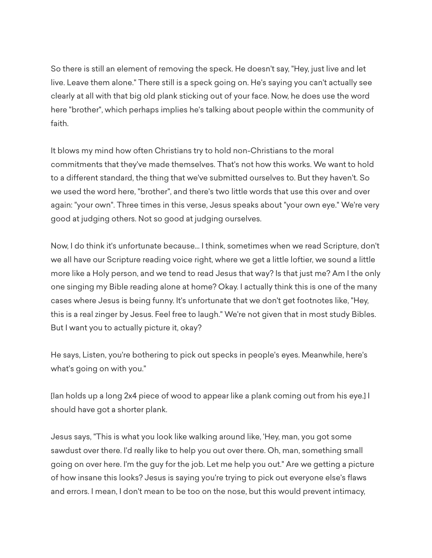So there is still an element of removing the speck. He doesn't say, "Hey, just live and let live. Leave them alone." There still is a speck going on. He's saying you can't actually see clearly at all with that big old plank sticking out of your face. Now, he does use the word here "brother", which perhaps implies he's talking about people within the community of faith.

It blows my mind how often Christians try to hold non-Christians to the moral commitments that they've made themselves. That's not how this works. We want to hold to a different standard, the thing that we've submitted ourselves to. But they haven't. So we used the word here, "brother", and there's two little words that use this over and over again: "your own". Three times in this verse, Jesus speaks about "your own eye." We're very good at judging others. Not so good at judging ourselves.

Now, I do think it's unfortunate because... I think, sometimes when we read Scripture, don't we all have our Scripture reading voice right, where we get a little loftier, we sound a little more like a Holy person, and we tend to read Jesus that way? Is that just me? Am I the only one singing my Bible reading alone at home? Okay. I actually think this is one of the many cases where Jesus is being funny. It's unfortunate that we don't get footnotes like, "Hey, this is a real zinger by Jesus. Feel free to laugh." We're not given that in most study Bibles. But I want you to actually picture it, okay?

He says, Listen, you're bothering to pick out specks in people's eyes. Meanwhile, here's what's going on with you."

[Ian holds up a long 2x4 piece of wood to appear like a plank coming out from his eye.] I should have got a shorter plank.

Jesus says, "This is what you look like walking around like, 'Hey, man, you got some sawdust over there. I'd really like to help you out over there. Oh, man, something small going on over here. I'm the guy for the job. Let me help you out." Are we getting a picture of how insane this looks? Jesus is saying you're trying to pick out everyone else's flaws and errors. I mean, I don't mean to be too on the nose, but this would prevent intimacy,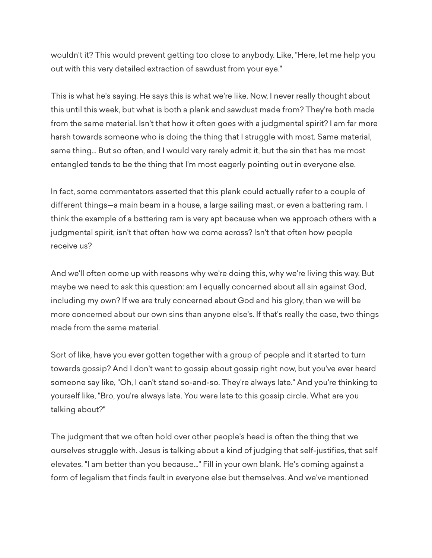wouldn't it? This would prevent getting too close to anybody. Like, "Here, let me help you out with this very detailed extraction of sawdust from your eye."

This is what he's saying. He says this is what we're like. Now, I never really thought about this until this week, but what is both a plank and sawdust made from? They're both made from the same material. Isn't that how it often goes with a judgmental spirit? I am far more harsh towards someone who is doing the thing that I struggle with most. Same material, same thing... But so often, and I would very rarely admit it, but the sin that has me most entangled tends to be the thing that I'm most eagerly pointing out in everyone else.

In fact, some commentators asserted that this plank could actually refer to a couple of different things—a main beam in a house, a large sailing mast, or even a battering ram. I think the example of a battering ram is very apt because when we approach others with a judgmental spirit, isn't that often how we come across? Isn't that often how people receive us?

And we'll often come up with reasons why we're doing this, why we're living this way. But maybe we need to ask this question: am I equally concerned about all sin against God, including my own? If we are truly concerned about God and his glory, then we will be more concerned about our own sins than anyone else's. If that's really the case, two things made from the same material.

Sort of like, have you ever gotten together with a group of people and it started to turn towards gossip? And I don't want to gossip about gossip right now, but you've ever heard someone say like, "Oh, I can't stand so-and-so. They're always late." And you're thinking to yourself like, "Bro, you're always late. You were late to this gossip circle. What are you talking about?"

The judgment that we often hold over other people's head is often the thing that we ourselves struggle with. Jesus is talking about a kind of judging that self-justifies, that self elevates. "I am better than you because..." Fill in your own blank. He's coming against a form of legalism that finds fault in everyone else but themselves. And we've mentioned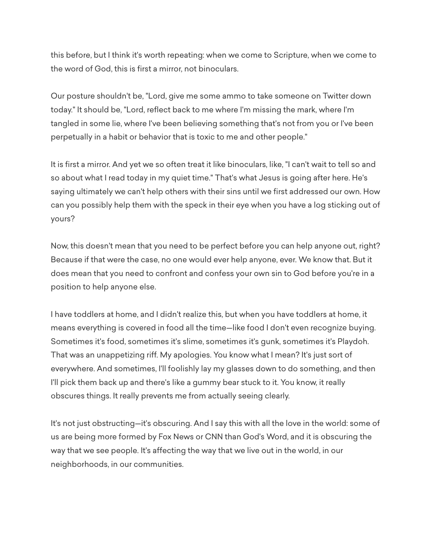this before, but I think it's worth repeating: when we come to Scripture, when we come to the word of God, this is first a mirror, not binoculars.

Our posture shouldn't be, "Lord, give me some ammo to take someone on Twitter down today." It should be, "Lord, reflect back to me where I'm missing the mark, where I'm tangled in some lie, where I've been believing something that's not from you or I've been perpetually in a habit or behavior that is toxic to me and other people."

It is first a mirror. And yet we so often treat it like binoculars, like, "I can't wait to tell so and so about what I read today in my quiet time." That's what Jesus is going after here. He's saying ultimately we can't help others with their sins until we first addressed our own. How can you possibly help them with the speck in their eye when you have a log sticking out of yours?

Now, this doesn't mean that you need to be perfect before you can help anyone out, right? Because if that were the case, no one would ever help anyone, ever. We know that. But it does mean that you need to confront and confess your own sin to God before you're in a position to help anyone else.

I have toddlers at home, and I didn't realize this, but when you have toddlers at home, it means everything is covered in food all the time—like food I don't even recognize buying. Sometimes it's food, sometimes it's slime, sometimes it's gunk, sometimes it's Playdoh. That was an unappetizing riff. My apologies. You know what I mean? It's just sort of everywhere. And sometimes, I'll foolishly lay my glasses down to do something, and then I'll pick them back up and there's like a gummy bear stuck to it. You know, it really obscures things. It really prevents me from actually seeing clearly.

It's not just obstructing—it's obscuring. And I say this with all the love in the world: some of us are being more formed by Fox News or CNN than God's Word, and it is obscuring the way that we see people. It's affecting the way that we live out in the world, in our neighborhoods, in our communities.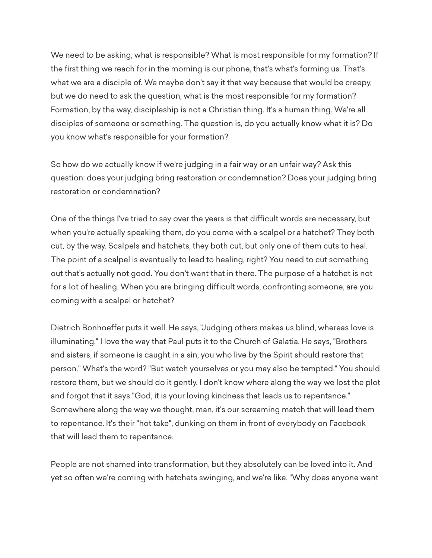We need to be asking, what is responsible? What is most responsible for my formation? If the first thing we reach for in the morning is our phone, that's what's forming us. That's what we are a disciple of. We maybe don't say it that way because that would be creepy, but we do need to ask the question, what is the most responsible for my formation? Formation, by the way, discipleship is not a Christian thing. It's a human thing. We're all disciples of someone or something. The question is, do you actually know what it is? Do you know what's responsible for your formation?

So how do we actually know if we're judging in a fair way or an unfair way? Ask this question: does your judging bring restoration or condemnation? Does your judging bring restoration or condemnation?

One of the things I've tried to say over the years is that difficult words are necessary, but when you're actually speaking them, do you come with a scalpel or a hatchet? They both cut, by the way. Scalpels and hatchets, they both cut, but only one of them cuts to heal. The point of a scalpel is eventually to lead to healing, right? You need to cut something out that's actually not good. You don't want that in there. The purpose of a hatchet is not for a lot of healing. When you are bringing difficult words, confronting someone, are you coming with a scalpel or hatchet?

Dietrich Bonhoeffer puts it well. He says, "Judging others makes us blind, whereas love is illuminating." I love the way that Paul puts it to the Church of Galatia. He says, "Brothers and sisters, if someone is caught in a sin, you who live by the Spirit should restore that person." What's the word? "But watch yourselves or you may also be tempted." You should restore them, but we should do it gently. I don't know where along the way we lost the plot and forgot that it says "God, it is your loving kindness that leads us to repentance." Somewhere along the way we thought, man, it's our screaming match that will lead them to repentance. It's their "hot take", dunking on them in front of everybody on Facebook that will lead them to repentance.

People are not shamed into transformation, but they absolutely can be loved into it. And yet so often we're coming with hatchets swinging, and we're like, "Why does anyone want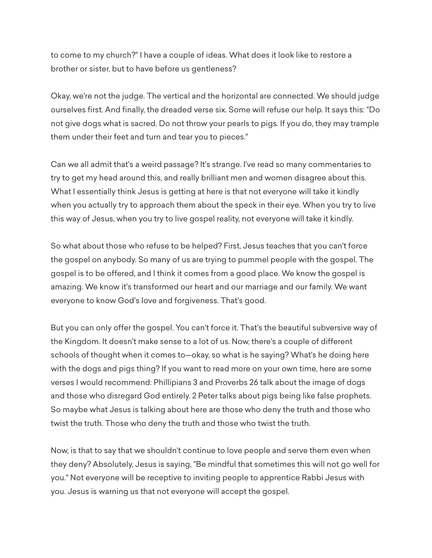to come to my church?" I have a couple of ideas. What does it look like to restore a brother or sister, but to have before us gentleness?

Okay, we're not the judge. The vertical and the horizontal are connected. We should judge ourselves first. And finally, the dreaded verse six. Some will refuse our help. It says this: "Do not give dogs what is sacred. Do not throw your pearls to pigs. If you do, they may trample them under their feet and turn and tear you to pieces."

Can we all admit that's a weird passage? It's strange. I've read so many commentaries to try to get my head around this, and really brilliant men and women disagree about this. What I essentially think Jesus is getting at here is that not everyone will take it kindly when you actually try to approach them about the speck in their eye. When you try to live this way of Jesus, when you try to live gospel reality, not everyone will take it kindly.

So what about those who refuse to be helped? First, Jesus teaches that you can't force the gospel on anybody. So many of us are trying to pummel people with the gospel. The gospel is to be offered, and I think it comes from a good place. We know the gospel is amazing. We know it's transformed our heart and our marriage and our family. We want everyone to know God's love and forgiveness. That's good.

But you can only offer the gospel. You can't force it. That's the beautiful subversive way of the Kingdom. It doesn't make sense to a lot of us. Now, there's a couple of different schools of thought when it comes to—okay, so what is he saying? What's he doing here with the dogs and pigs thing? If you want to read more on your own time, here are some verses I would recommend: Phillipians 3 and Proverbs 26 talk about the image of dogs and those who disregard God entirely. 2 Peter talks about pigs being like false prophets. So maybe what Jesus is talking about here are those who deny the truth and those who twist the truth. Those who deny the truth and those who twist the truth.

Now, is that to say that we shouldn't continue to love people and serve them even when they deny? Absolutely, Jesus is saying, "Be mindful that sometimes this will not go well for you." Not everyone will be receptive to inviting people to apprentice Rabbi Jesus with you. Jesus is warning us that not everyone will accept the gospel.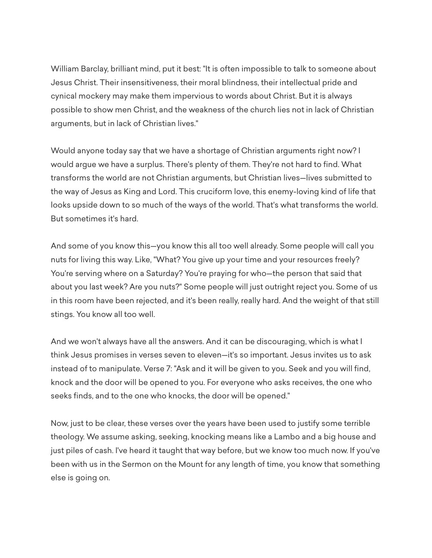William Barclay, brilliant mind, put it best: "It is often impossible to talk to someone about Jesus Christ. Their insensitiveness, their moral blindness, their intellectual pride and cynical mockery may make them impervious to words about Christ. But it is always possible to show men Christ, and the weakness of the church lies not in lack of Christian arguments, but in lack of Christian lives."

Would anyone today say that we have a shortage of Christian arguments right now? I would argue we have a surplus. There's plenty of them. They're not hard to find. What transforms the world are not Christian arguments, but Christian lives—lives submitted to the way of Jesus as King and Lord. This cruciform love, this enemy-loving kind of life that looks upside down to so much of the ways of the world. That's what transforms the world. But sometimes it's hard.

And some of you know this—you know this all too well already. Some people will call you nuts for living this way. Like, "What? You give up your time and your resources freely? You're serving where on a Saturday? You're praying for who—the person that said that about you last week? Are you nuts?" Some people will just outright reject you. Some of us in this room have been rejected, and it's been really, really hard. And the weight of that still stings. You know all too well.

And we won't always have all the answers. And it can be discouraging, which is what I think Jesus promises in verses seven to eleven—it's so important. Jesus invites us to ask instead of to manipulate. Verse 7: "Ask and it will be given to you. Seek and you will find, knock and the door will be opened to you. For everyone who asks receives, the one who seeks finds, and to the one who knocks, the door will be opened."

Now, just to be clear, these verses over the years have been used to justify some terrible theology. We assume asking, seeking, knocking means like a Lambo and a big house and just piles of cash. I've heard it taught that way before, but we know too much now. If you've been with us in the Sermon on the Mount for any length of time, you know that something else is going on.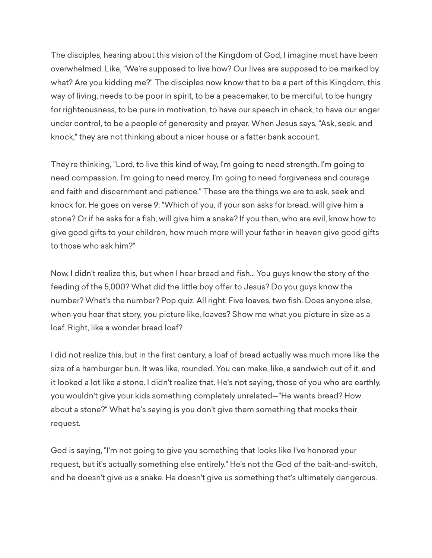The disciples, hearing about this vision of the Kingdom of God, I imagine must have been overwhelmed. Like, "We're supposed to live how? Our lives are supposed to be marked by what? Are you kidding me?" The disciples now know that to be a part of this Kingdom, this way of living, needs to be poor in spirit, to be a peacemaker, to be merciful, to be hungry for righteousness, to be pure in motivation, to have our speech in check, to have our anger under control, to be a people of generosity and prayer. When Jesus says, "Ask, seek, and knock," they are not thinking about a nicer house or a fatter bank account.

They're thinking, "Lord, to live this kind of way, I'm going to need strength. I'm going to need compassion. I'm going to need mercy. I'm going to need forgiveness and courage and faith and discernment and patience." These are the things we are to ask, seek and knock for. He goes on verse 9: "Which of you, if your son asks for bread, will give him a stone? Or if he asks for a fish, will give him a snake? If you then, who are evil, know how to give good gifts to your children, how much more will your father in heaven give good gifts to those who ask him?"

Now, I didn't realize this, but when I hear bread and fish... You guys know the story of the feeding of the 5,000? What did the little boy offer to Jesus? Do you guys know the number? What's the number? Pop quiz. All right. Five loaves, two fish. Does anyone else, when you hear that story, you picture like, loaves? Show me what you picture in size as a loaf. Right, like a wonder bread loaf?

I did not realize this, but in the first century, a loaf of bread actually was much more like the size of a hamburger bun. It was like, rounded. You can make, like, a sandwich out of it, and it looked a lot like a stone. I didn't realize that. He's not saying, those of you who are earthly, you wouldn't give your kids something completely unrelated—"He wants bread? How about a stone?" What he's saying is you don't give them something that mocks their request.

God is saying, "I'm not going to give you something that looks like I've honored your request, but it's actually something else entirely." He's not the God of the bait-and-switch, and he doesn't give us a snake. He doesn't give us something that's ultimately dangerous.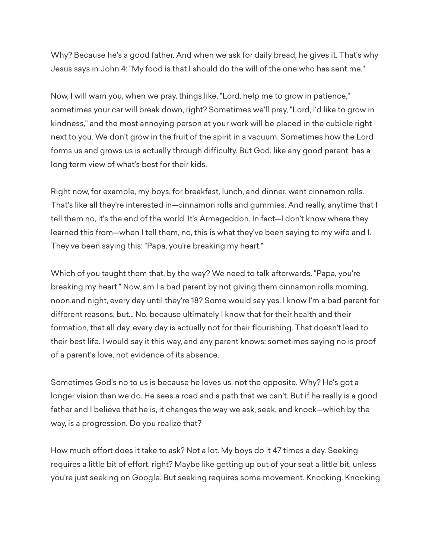Why? Because he's a good father. And when we ask for daily bread, he gives it. That's why Jesus says in John 4: "My food is that I should do the will of the one who has sent me."

Now, I will warn you, when we pray, things like, "Lord, help me to grow in patience," sometimes your car will break down, right? Sometimes we'll pray, "Lord, I'd like to grow in kindness," and the most annoying person at your work will be placed in the cubicle right next to you. We don't grow in the fruit of the spirit in a vacuum. Sometimes how the Lord forms us and grows us is actually through difficulty. But God, like any good parent, has a long term view of what's best for their kids.

Right now, for example, my boys, for breakfast, lunch, and dinner, want cinnamon rolls. That's like all they're interested in—cinnamon rolls and gummies. And really, anytime that I tell them no, it's the end of the world. It's Armageddon. In fact—I don't know where they learned this from—when I tell them, no, this is what they've been saying to my wife and I. They've been saying this: "Papa, you're breaking my heart."

Which of you taught them that, by the way? We need to talk afterwards. "Papa, you're breaking my heart." Now, am I a bad parent by not giving them cinnamon rolls morning, noon,and night, every day until they're 18? Some would say yes. I know I'm a bad parent for different reasons, but... No, because ultimately I know that for their health and their formation, that all day, every day is actually not for their flourishing. That doesn't lead to their best life. I would say it this way, and any parent knows: sometimes saying no is proof of a parent's love, not evidence of its absence.

Sometimes God's no to us is because he loves us, not the opposite. Why? He's got a longer vision than we do. He sees a road and a path that we can't. But if he really is a good father and I believe that he is, it changes the way we ask, seek, and knock—which by the way, is a progression. Do you realize that?

How much effort does it take to ask? Not a lot. My boys do it 47 times a day. Seeking requires a little bit of effort, right? Maybe like getting up out of your seat a little bit, unless you're just seeking on Google. But seeking requires some movement. Knocking. Knocking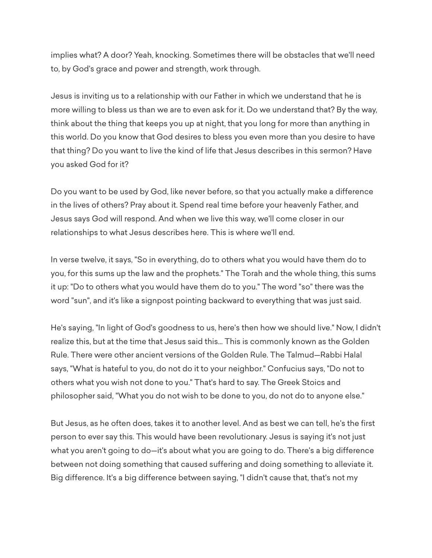implies what? A door? Yeah, knocking. Sometimes there will be obstacles that we'll need to, by God's grace and power and strength, work through.

Jesus is inviting us to a relationship with our Father in which we understand that he is more willing to bless us than we are to even ask for it. Do we understand that? By the way, think about the thing that keeps you up at night, that you long for more than anything in this world. Do you know that God desires to bless you even more than you desire to have that thing? Do you want to live the kind of life that Jesus describes in this sermon? Have you asked God for it?

Do you want to be used by God, like never before, so that you actually make a difference in the lives of others? Pray about it. Spend real time before your heavenly Father, and Jesus says God will respond. And when we live this way, we'll come closer in our relationships to what Jesus describes here. This is where we'll end.

In verse twelve, it says, "So in everything, do to others what you would have them do to you, for this sums up the law and the prophets." The Torah and the whole thing, this sums it up: "Do to others what you would have them do to you." The word "so" there was the word "sun", and it's like a signpost pointing backward to everything that was just said.

He's saying, "In light of God's goodness to us, here's then how we should live." Now, I didn't realize this, but at the time that Jesus said this... This is commonly known as the Golden Rule. There were other ancient versions of the Golden Rule. The Talmud—Rabbi Halal says, "What is hateful to you, do not do it to your neighbor." Confucius says, "Do not to others what you wish not done to you." That's hard to say. The Greek Stoics and philosopher said, "What you do not wish to be done to you, do not do to anyone else."

But Jesus, as he often does, takes it to another level. And as best we can tell, he's the first person to ever say this. This would have been revolutionary. Jesus is saying it's not just what you aren't going to do—it's about what you are going to do. There's a big difference between not doing something that caused suffering and doing something to alleviate it. Big difference. It's a big difference between saying, "I didn't cause that, that's not my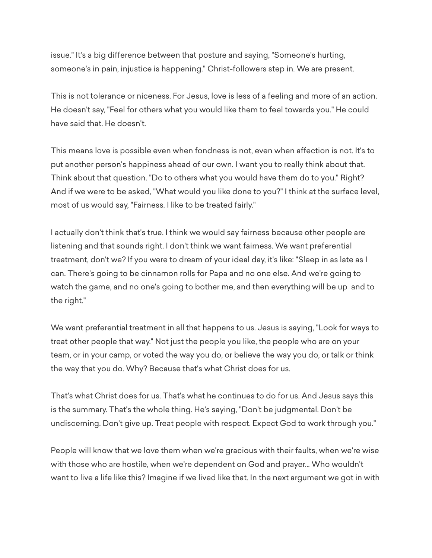issue." It's a big difference between that posture and saying, "Someone's hurting, someone's in pain, injustice is happening." Christ-followers step in. We are present.

This is not tolerance or niceness. For Jesus, love is less of a feeling and more of an action. He doesn't say, "Feel for others what you would like them to feel towards you." He could have said that. He doesn't.

This means love is possible even when fondness is not, even when affection is not. It's to put another person's happiness ahead of our own. I want you to really think about that. Think about that question. "Do to others what you would have them do to you." Right? And if we were to be asked, "What would you like done to you?" I think at the surface level, most of us would say, "Fairness. I like to be treated fairly."

I actually don't think that's true. I think we would say fairness because other people are listening and that sounds right. I don't think we want fairness. We want preferential treatment, don't we? If you were to dream of your ideal day, it's like: "Sleep in as late as I can. There's going to be cinnamon rolls for Papa and no one else. And we're going to watch the game, and no one's going to bother me, and then everything will be up and to the right."

We want preferential treatment in all that happens to us. Jesus is saying, "Look for ways to treat other people that way." Not just the people you like, the people who are on your team, or in your camp, or voted the way you do, or believe the way you do, or talk or think the way that you do. Why? Because that's what Christ does for us.

That's what Christ does for us. That's what he continues to do for us. And Jesus says this is the summary. That's the whole thing. He's saying, "Don't be judgmental. Don't be undiscerning. Don't give up. Treat people with respect. Expect God to work through you."

People will know that we love them when we're gracious with their faults, when we're wise with those who are hostile, when we're dependent on God and prayer... Who wouldn't want to live a life like this? Imagine if we lived like that. In the next argument we got in with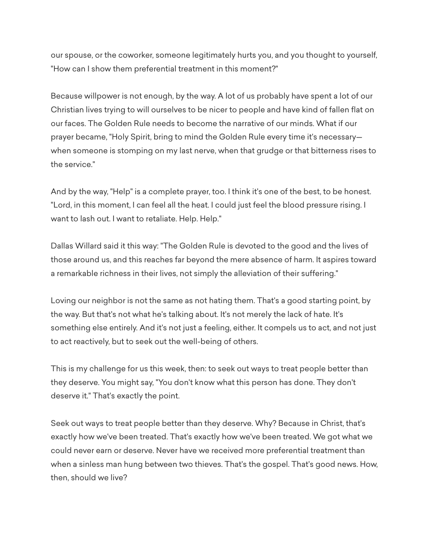our spouse, or the coworker, someone legitimately hurts you, and you thought to yourself, "How can I show them preferential treatment in this moment?"

Because willpower is not enough, by the way. A lot of us probably have spent a lot of our Christian lives trying to will ourselves to be nicer to people and have kind of fallen flat on our faces. The Golden Rule needs to become the narrative of our minds. What if our prayer became, "Holy Spirit, bring to mind the Golden Rule every time it's necessary when someone is stomping on my last nerve, when that grudge or that bitterness rises to the service."

And by the way, "Help" is a complete prayer, too. I think it's one of the best, to be honest. "Lord, in this moment, I can feel all the heat. I could just feel the blood pressure rising. I want to lash out. I want to retaliate. Help. Help."

Dallas Willard said it this way: "The Golden Rule is devoted to the good and the lives of those around us, and this reaches far beyond the mere absence of harm. It aspires toward a remarkable richness in their lives, not simply the alleviation of their suffering."

Loving our neighbor is not the same as not hating them. That's a good starting point, by the way. But that's not what he's talking about. It's not merely the lack of hate. It's something else entirely. And it's not just a feeling, either. It compels us to act, and not just to act reactively, but to seek out the well-being of others.

This is my challenge for us this week, then: to seek out ways to treat people better than they deserve. You might say, "You don't know what this person has done. They don't deserve it." That's exactly the point.

Seek out ways to treat people better than they deserve. Why? Because in Christ, that's exactly how we've been treated. That's exactly how we've been treated. We got what we could never earn or deserve. Never have we received more preferential treatment than when a sinless man hung between two thieves. That's the gospel. That's good news. How, then, should we live?